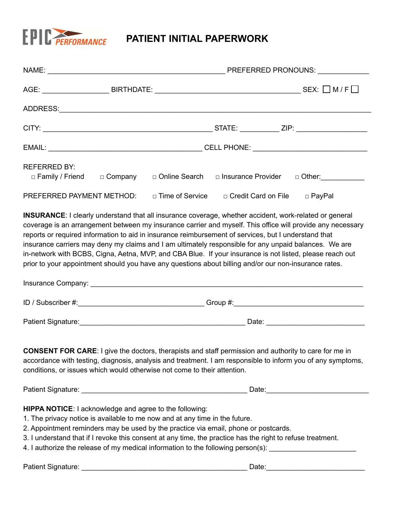

| <b>REFERRED BY:</b><br>□ Family / Friend □ Company | □ Online Search                                                                                                                                                                                                                      | □ Insurance Provider □ Other:                                                                                                                                                                                                                                                                                                                                                                                                                                                                                                                                                                                                                              |  |
|----------------------------------------------------|--------------------------------------------------------------------------------------------------------------------------------------------------------------------------------------------------------------------------------------|------------------------------------------------------------------------------------------------------------------------------------------------------------------------------------------------------------------------------------------------------------------------------------------------------------------------------------------------------------------------------------------------------------------------------------------------------------------------------------------------------------------------------------------------------------------------------------------------------------------------------------------------------------|--|
| PREFERRED PAYMENT METHOD:                          | □ Time of Service                                                                                                                                                                                                                    | □ Credit Card on File □ PayPal                                                                                                                                                                                                                                                                                                                                                                                                                                                                                                                                                                                                                             |  |
|                                                    |                                                                                                                                                                                                                                      | INSURANCE: I clearly understand that all insurance coverage, whether accident, work-related or general<br>coverage is an arrangement between my insurance carrier and myself. This office will provide any necessary<br>reports or required information to aid in insurance reimbursement of services, but I understand that<br>insurance carriers may deny my claims and I am ultimately responsible for any unpaid balances. We are<br>in-network with BCBS, Cigna, Aetna, MVP, and CBA Blue. If your insurance is not listed, please reach out<br>prior to your appointment should you have any questions about billing and/or our non-insurance rates. |  |
|                                                    |                                                                                                                                                                                                                                      |                                                                                                                                                                                                                                                                                                                                                                                                                                                                                                                                                                                                                                                            |  |
|                                                    |                                                                                                                                                                                                                                      |                                                                                                                                                                                                                                                                                                                                                                                                                                                                                                                                                                                                                                                            |  |
|                                                    | conditions, or issues which would otherwise not come to their attention.                                                                                                                                                             | <b>CONSENT FOR CARE:</b> I give the doctors, therapists and staff permission and authority to care for me in<br>accordance with testing, diagnosis, analysis and treatment. I am responsible to inform you of any symptoms,                                                                                                                                                                                                                                                                                                                                                                                                                                |  |
|                                                    |                                                                                                                                                                                                                                      |                                                                                                                                                                                                                                                                                                                                                                                                                                                                                                                                                                                                                                                            |  |
|                                                    | <b>HIPPA NOTICE:</b> I acknowledge and agree to the following:<br>1. The privacy notice is available to me now and at any time in the future.<br>2. Appointment reminders may be used by the practice via email, phone or postcards. | 3. I understand that if I revoke this consent at any time, the practice has the right to refuse treatment.<br>4. I authorize the release of my medical information to the following person(s): ___________________                                                                                                                                                                                                                                                                                                                                                                                                                                         |  |
| Patient Signature:                                 |                                                                                                                                                                                                                                      | Date:                                                                                                                                                                                                                                                                                                                                                                                                                                                                                                                                                                                                                                                      |  |